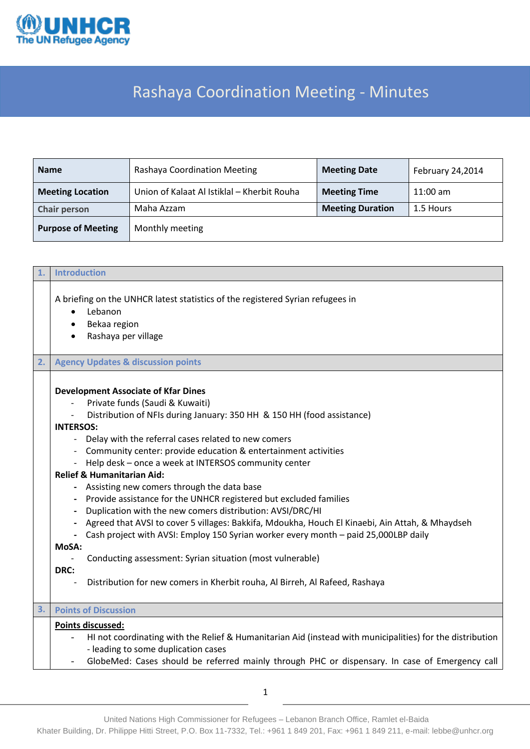

## Rashaya Coordination Meeting - Minutes

| <b>Name</b>                       | Rashaya Coordination Meeting                                       | <b>Meeting Date</b><br>February 24,2014 |            |
|-----------------------------------|--------------------------------------------------------------------|-----------------------------------------|------------|
| <b>Meeting Location</b>           | Union of Kalaat Al Istiklal - Kherbit Rouha<br><b>Meeting Time</b> |                                         | $11:00$ am |
| Maha Azzam<br><b>Chair person</b> |                                                                    | <b>Meeting Duration</b>                 | 1.5 Hours  |
| <b>Purpose of Meeting</b>         | Monthly meeting                                                    |                                         |            |

| 1. | <b>Introduction</b>                                                                                                                                                                                                                                                                                                                                                                                                                                                                                                                                                                                                                                                                                                                                                                                                                                                                                                                                                      |
|----|--------------------------------------------------------------------------------------------------------------------------------------------------------------------------------------------------------------------------------------------------------------------------------------------------------------------------------------------------------------------------------------------------------------------------------------------------------------------------------------------------------------------------------------------------------------------------------------------------------------------------------------------------------------------------------------------------------------------------------------------------------------------------------------------------------------------------------------------------------------------------------------------------------------------------------------------------------------------------|
|    | A briefing on the UNHCR latest statistics of the registered Syrian refugees in<br>Lebanon<br>$\bullet$<br>Bekaa region<br>Rashaya per village                                                                                                                                                                                                                                                                                                                                                                                                                                                                                                                                                                                                                                                                                                                                                                                                                            |
| 2. | <b>Agency Updates &amp; discussion points</b>                                                                                                                                                                                                                                                                                                                                                                                                                                                                                                                                                                                                                                                                                                                                                                                                                                                                                                                            |
|    | <b>Development Associate of Kfar Dines</b><br>Private funds (Saudi & Kuwaiti)<br>Distribution of NFIs during January: 350 HH & 150 HH (food assistance)<br><b>INTERSOS:</b><br>Delay with the referral cases related to new comers<br>Community center: provide education & entertainment activities<br>Help desk - once a week at INTERSOS community center<br><b>Relief &amp; Humanitarian Aid:</b><br>Assisting new comers through the data base<br>Provide assistance for the UNHCR registered but excluded families<br>Duplication with the new comers distribution: AVSI/DRC/HI<br>Agreed that AVSI to cover 5 villages: Bakkifa, Mdoukha, Houch El Kinaebi, Ain Attah, & Mhaydseh<br>Cash project with AVSI: Employ 150 Syrian worker every month - paid 25,000LBP daily<br>MoSA:<br>Conducting assessment: Syrian situation (most vulnerable)<br>$\overline{\phantom{a}}$<br>DRC:<br>Distribution for new comers in Kherbit rouha, Al Birreh, Al Rafeed, Rashaya |
| 3. | <b>Points of Discussion</b>                                                                                                                                                                                                                                                                                                                                                                                                                                                                                                                                                                                                                                                                                                                                                                                                                                                                                                                                              |
|    | Points discussed:<br>HI not coordinating with the Relief & Humanitarian Aid (instead with municipalities) for the distribution<br>- leading to some duplication cases<br>GlobeMed: Cases should be referred mainly through PHC or dispensary. In case of Emergency call                                                                                                                                                                                                                                                                                                                                                                                                                                                                                                                                                                                                                                                                                                  |